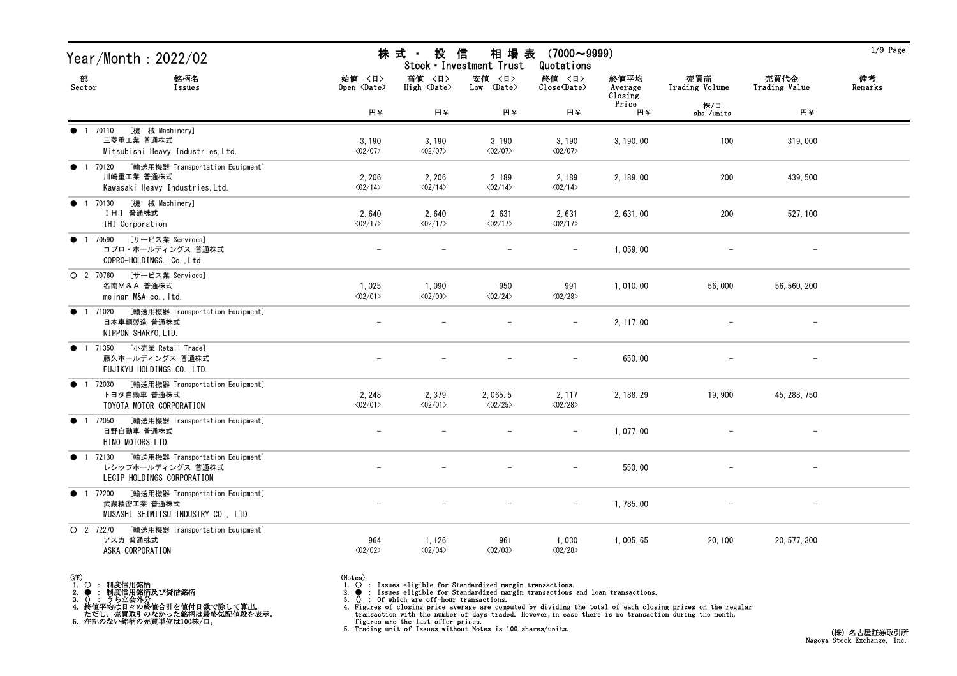| Year/Month : 2022/02                                                                                      |                                   | 株 式 ・<br>投                            | 信<br>相 場 表<br>Stock · Investment Trust |                                                              | $1/9$ Page                 |                       |                          |               |
|-----------------------------------------------------------------------------------------------------------|-----------------------------------|---------------------------------------|----------------------------------------|--------------------------------------------------------------|----------------------------|-----------------------|--------------------------|---------------|
| 部<br>銘柄名<br>Sector<br>Issues                                                                              | 始値 〈日〉<br>Open <date></date>      | 高値 〈日〉<br>$High \langle Date \rangle$ | 安値 〈日〉<br>$Low \over \text{Date}$      | 終値 〈日〉<br>$\overline{\text{Close}}\langle\text{Date}\rangle$ | 終値平均<br>Average<br>Closing | 売買高<br>Trading Volume | 売買代金<br>Trading Value    | 備考<br>Remarks |
|                                                                                                           | 円半                                | 円半                                    | 円半                                     | 円半                                                           | Price<br>円半                | 株/口<br>shs./units     | 円半                       |               |
| [機 械 Machinery]<br>1 70110<br>$\bullet$<br>三菱重工業 普通株式<br>Mitsubishi Heavy Industries, Ltd.                | 3,190<br>$\langle 02/07 \rangle$  | 3,190<br>$\langle 02/07 \rangle$      | 3, 190<br>$\langle 02/07 \rangle$      | 3,190<br>$\langle 02/07 \rangle$                             | 3, 190.00                  | 100                   | 319,000                  |               |
| [輸送用機器 Transportation Equipment]<br>1 70120<br>$\bullet$<br>川崎重工業 普通株式<br>Kawasaki Heavy Industries, Ltd. | 2, 206<br>$\langle 02/14 \rangle$ | 2, 206<br>$\langle 02/14 \rangle$     | 2, 189<br>$\langle 02/14 \rangle$      | 2,189<br>$\langle 02/14 \rangle$                             | 2, 189.00                  | 200                   | 439, 500                 |               |
| [機 械 Machinery]<br>1 70130<br>$\bullet$<br>Ⅰ HⅠ 普通株式<br>IHI Corporation                                   | 2,640<br>$\langle 02/17 \rangle$  | 2,640<br>$\langle 02/17 \rangle$      | 2,631<br>$\langle 02/17 \rangle$       | 2,631<br>$\langle 02/17 \rangle$                             | 2, 631.00                  | 200                   | 527, 100                 |               |
| [サービス業 Services]<br>70590<br>$\bullet$ 1<br>コプロ・ホールディングス 普通株式<br>COPRO-HOLDINGS. Co., Ltd.                |                                   |                                       |                                        | $\overline{\phantom{m}}$                                     | 1,059.00                   |                       |                          |               |
| [サービス業 Services]<br>O 2 70760<br>名南M&A 普通株式<br>meinan M&A co., Itd.                                       | 1,025<br>$\langle 02/01 \rangle$  | 1,090<br>$\langle 02/09 \rangle$      | 950<br>$\langle 02/24 \rangle$         | 991<br>$\langle 02/28 \rangle$                               | 1,010.00                   | 56,000                | 56, 560, 200             |               |
| [輸送用機器 Transportation Equipment]<br>● 1 71020<br>日本車輌製造 普通株式<br>NIPPON SHARYO, LTD.                       |                                   |                                       |                                        | $\overline{\phantom{m}}$                                     | 2, 117.00                  |                       | $\overline{\phantom{a}}$ |               |
| [小売業 Retail Trade]<br>1 71350<br>$\bullet$<br>藤久ホールディングス 普通株式<br>FUJIKYU HOLDINGS CO., LTD.               |                                   |                                       |                                        |                                                              | 650.00                     |                       |                          |               |
| [輸送用機器 Transportation Equipment]<br>1 72030<br>$\bullet$<br>トヨタ自動車 普通株式<br>TOYOTA MOTOR CORPORATION       | 2, 248<br>$\langle 02/01 \rangle$ | 2,379<br>$\langle 02/01 \rangle$      | 2,065.5<br>$\langle 02/25 \rangle$     | 2, 117<br>$\langle 02/28 \rangle$                            | 2, 188. 29                 | 19,900                | 45, 288, 750             |               |
| [輸送用機器 Transportation Equipment]<br>1 72050<br>$\bullet$<br>日野自動車 普通株式<br>HINO MOTORS, LTD.               |                                   |                                       |                                        |                                                              | 1, 077.00                  |                       |                          |               |
| 1 72130 [輸送用機器 Transportation Equipment]<br>レシップホールディングス 普通株式<br>LECIP HOLDINGS CORPORATION               |                                   |                                       |                                        | $-$                                                          | 550.00                     |                       |                          |               |
| [輸送用機器 Transportation Equipment]<br><b>1</b> 72200<br>武蔵精密工業 普通株式<br>MUSASHI SEIMITSU INDUSTRY CO., LTD   |                                   |                                       |                                        | $-$                                                          | 1,785.00                   |                       |                          |               |
| O 2 72270<br>[輸送用機器 Transportation Equipment]<br>アスカ 普通株式<br>ASKA CORPORATION                             | 964<br>$\langle 02/02 \rangle$    | 1, 126<br>$\langle 02/04 \rangle$     | 961<br>$\langle 02/03 \rangle$         | 1,030<br>$\langle 02/28 \rangle$                             | 1,005.65                   | 20, 100               | 20, 577, 300             |               |

(注)<br>1. ○<br>2. ●<br>3. ① 1. ○ : 制度信用銘柄

2. ● : 制度信用銘柄及び貸借銘柄<br>3. () : うち立会外分<br>4. 終値平均は日々の終値合計を値付日数で除して算出。<br>ただし、売買取引のなかった銘柄は最終気配値段を表示。<br>5. 注記のない銘柄の売買単位は100株/口。

(Notes)<br>1. ○ : Issues eligible for Standardized margin transactions.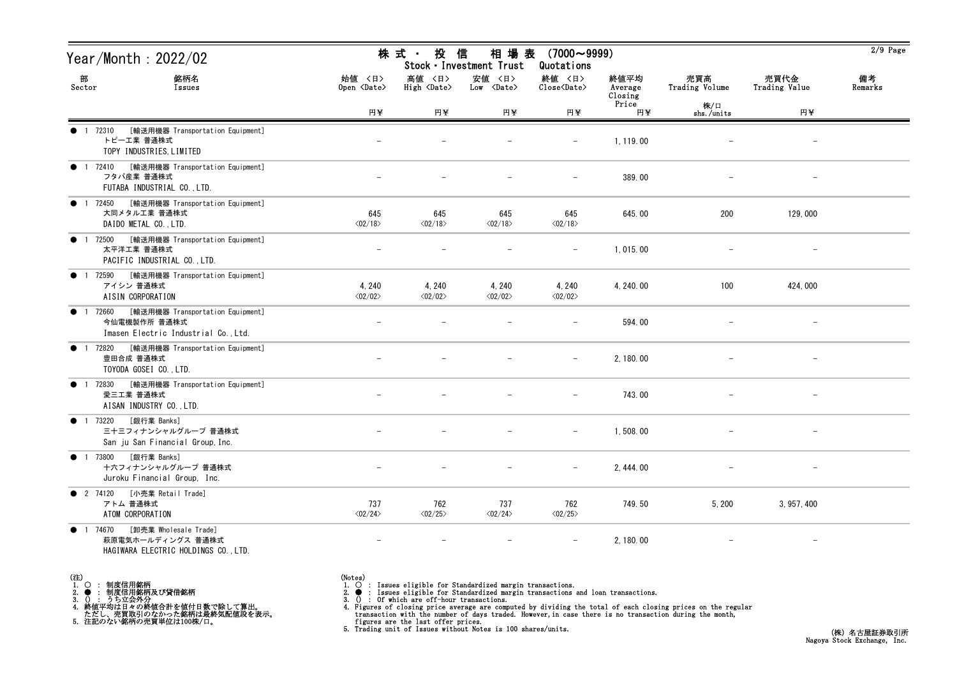| Year/Month: 2022/02                                                                                               |                                   | 株 式 ・<br>投<br>信<br>相 場 表<br>$(7000 \sim 9999)$<br>Stock · Investment Trust<br>Quotations |                                   |                                                    |                            |                       |                          |               |  |
|-------------------------------------------------------------------------------------------------------------------|-----------------------------------|------------------------------------------------------------------------------------------|-----------------------------------|----------------------------------------------------|----------------------------|-----------------------|--------------------------|---------------|--|
| 部<br>銘柄名<br>Sector<br>Issues                                                                                      | 始値 〈日〉<br>Open <date></date>      | 高値 〈日〉<br>High <date></date>                                                             | 安値 〈日〉<br>Low <date></date>       | 終値 〈日〉<br>$\text{Close}\langle \text{Date}\rangle$ | 終値平均<br>Average<br>Closing | 売買高<br>Trading Volume | 売買代金<br>Trading Value    | 備考<br>Remarks |  |
|                                                                                                                   | 円半                                | 円半                                                                                       | 円半                                | 円半                                                 | Price<br>円¥                | 株/口<br>shs./units     | 円半                       |               |  |
| [輸送用機器 Transportation Equipment]<br>● 1 72310<br>トピーエ業 普通株式<br>TOPY INDUSTRIES, LIMITED                           |                                   |                                                                                          |                                   | $\overline{\phantom{m}}$                           | 1, 119.00                  |                       | $\overline{\phantom{a}}$ |               |  |
| [輸送用機器 Transportation Equipment]<br>1 72410<br>$\bullet$<br>フタバ産業 普通株式<br>FUTABA INDUSTRIAL CO., LTD.             |                                   |                                                                                          |                                   | $\overline{\phantom{m}}$                           | 389.00                     |                       | $\overline{\phantom{m}}$ |               |  |
| [輸送用機器 Transportation Equipment]<br>1 72450<br>$\bullet$<br>大同メタル工業 普通株式<br>DAIDO METAL CO., LTD.                 | 645<br>$\langle 02/18 \rangle$    | 645<br>$\langle 02/18 \rangle$                                                           | 645<br>$\langle 02/18 \rangle$    | 645<br>$\langle 02/18 \rangle$                     | 645.00                     | 200                   | 129,000                  |               |  |
| [輸送用機器 Transportation Equipment]<br>● 1 72500<br>太平洋工業 普通株式<br>PACIFIC INDUSTRIAL CO., LTD.                       |                                   |                                                                                          |                                   | $\overline{\phantom{m}}$                           | 1,015.00                   |                       |                          |               |  |
| [輸送用機器 Transportation Equipment]<br>72590<br>$\bullet$<br>アイシン 普通株式<br>AISIN CORPORATION                          | 4, 240<br>$\langle 02/02 \rangle$ | 4, 240<br>$\langle 02/02 \rangle$                                                        | 4, 240<br>$\langle 02/02 \rangle$ | 4, 240<br>$\langle 02/02 \rangle$                  | 4, 240.00                  | 100                   | 424,000                  |               |  |
| [輸送用機器 Transportation Equipment]<br>1 72660<br>今仙電機製作所 普通株式<br>Imasen Electric Industrial Co., Ltd.               |                                   |                                                                                          |                                   |                                                    | 594.00                     |                       | $\overline{\phantom{m}}$ |               |  |
| [輸送用機器 Transportation Equipment]<br>1 72820<br>$\bullet$<br>豊田合成 普通株式<br>TOYODA GOSEI CO., LTD.                   |                                   |                                                                                          |                                   |                                                    | 2, 180.00                  |                       |                          |               |  |
| [輸送用機器 Transportation Equipment]<br>72830<br>$\bullet$<br>$\overline{1}$<br>愛三工業 普通株式<br>AISAN INDUSTRY CO., LTD. |                                   |                                                                                          |                                   | $-$                                                | 743.00                     |                       | $\overline{\phantom{m}}$ |               |  |
| [銀行業 Banks]<br>● 1 73220<br>三十三フィナンシャルグループ 普通株式<br>San ju San Financial Group, Inc.                               |                                   |                                                                                          |                                   | $-$                                                | 1,508.00                   |                       | $\overline{\phantom{m}}$ |               |  |
| ● 1 73800 [銀行業 Banks]<br>十六フィナンシャルグループ 普通株式<br>Juroku Financial Group, Inc.                                       |                                   |                                                                                          |                                   | $-$                                                | 2, 444.00                  |                       | $\overline{\phantom{m}}$ |               |  |
| [小売業 Retail Trade]<br><b>2</b> 74120<br>アトム 普通株式<br>ATOM CORPORATION                                              | 737<br>$\langle 02/24 \rangle$    | 762<br>$\langle 02/25 \rangle$                                                           | 737<br>$\langle 02/24 \rangle$    | 762<br>$\langle 02/25 \rangle$                     | 749.50                     | 5, 200                | 3, 957, 400              |               |  |
| [卸売業 Wholesale Trade]<br>1 74670<br>$\bullet$<br>萩原電気ホールディングス 普通株式<br>HAGIWARA ELECTRIC HOLDINGS CO., LTD.        | $\overline{\phantom{m}}$          |                                                                                          |                                   | $\overline{\phantom{m}}$                           | 2, 180.00                  |                       | $-$                      |               |  |

- (注)<br>1. ○<br>2. ●<br>3. ① 1. ○ : 制度信用銘柄
- 
- 

2. ● : 制度信用銘柄及び貸借銘柄<br>3. () : うち立会外分<br>4. 終値平均は日々の終値合計を値付日数で除して算出。<br>ただし、売買取引のなかった銘柄は最終気配値段を表示。<br>5. 注記のない銘柄の売買単位は100株/口。

- 
- (Notes)<br>1. : Issues eligible for Standardized margin transactions.
-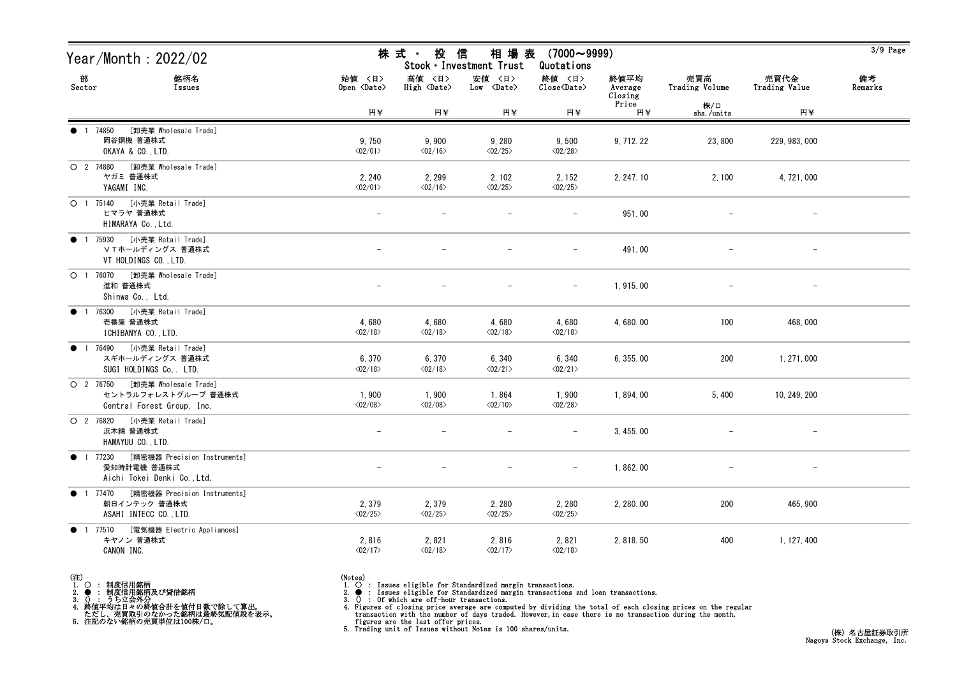| Year/Month : 2022/02                                                                        | 株式 投信<br>相 場 表<br>$(7000 \sim 9999)$<br>Stock · Investment Trust<br>Quotations |                                         |                                  |                                                    |                            |                       |                          | $3/9$ Page    |
|---------------------------------------------------------------------------------------------|--------------------------------------------------------------------------------|-----------------------------------------|----------------------------------|----------------------------------------------------|----------------------------|-----------------------|--------------------------|---------------|
| 部<br>銘柄名<br>Sector<br>Issues                                                                | 始値 〈日〉<br>Open <date></date>                                                   | 高値 〈日〉<br>High $\langle$ Date $\rangle$ | 安値 <日><br>Low <date></date>      | 終値 〈日〉<br>$\text{Close}\langle \text{Date}\rangle$ | 終値平均<br>Average<br>Closing | 売買高<br>Trading Volume | 売買代金<br>Trading Value    | 備考<br>Remarks |
|                                                                                             | 円半                                                                             | 円半                                      | 円半                               | 円半                                                 | Price<br>円¥                | 株/口<br>shs./units     | 円半                       |               |
| [卸売業 Wholesale Trade]<br>1 74850<br>岡谷鋼機 普通株式<br>OKAYA & CO., LTD.                          | 9,750<br>$\langle 02/01 \rangle$                                               | 9,900<br>$\langle 02/16 \rangle$        | 9,280<br>$\langle 02/25 \rangle$ | 9,500<br>$\langle 02/28 \rangle$                   | 9, 712. 22                 | 23,800                | 229, 983, 000            |               |
| ○ 2 74880 [卸売業 Wholesale Trade]<br>ヤガミ 普通株式<br>YAGAMI INC.                                  | 2, 240<br>$\langle 02/01 \rangle$                                              | 2, 299<br>$\langle 02/16 \rangle$       | 2,102<br>$\langle 02/25 \rangle$ | 2, 152<br>$\langle 02/25 \rangle$                  | 2, 247. 10                 | 2,100                 | 4, 721, 000              |               |
| ○ 1 75140 [小売業 Retail Trade]<br>ヒマラヤ 普通株式<br>HIMARAYA Co., Ltd.                             |                                                                                |                                         |                                  |                                                    | 951.00                     |                       |                          |               |
| ● 1 75930 [小売業 Retail Trade]<br>ⅤTホールディングス 普通株式<br>VT HOLDINGS CO., LTD.                    |                                                                                |                                         |                                  | $\qquad \qquad -$                                  | 491.00                     |                       | $\overline{\phantom{m}}$ |               |
| O 1 76070 [卸売業 Wholesale Trade]<br>進和 普通株式<br>Shinwa Co., Ltd.                              |                                                                                |                                         |                                  | $-$                                                | 1, 915.00                  |                       |                          |               |
| 1 76300 [小売業 Retail Trade]<br>$\bullet$<br>壱番屋 普通株式<br>ICHIBANYA CO., LTD.                  | 4,680<br>$\langle 02/18 \rangle$                                               | 4,680<br>$\langle 02/18 \rangle$        | 4,680<br>$\langle 02/18 \rangle$ | 4,680<br>$\langle 02/18 \rangle$                   | 4,680.00                   | 100                   | 468,000                  |               |
| 1 76490 [小売業 Retail Trade]<br>$\bullet$<br>スギホールディングス 普通株式<br>SUGI HOLDINGS Co, . LTD.      | 6,370<br>$\langle 02/18 \rangle$                                               | 6,370<br>$\langle 02/18 \rangle$        | 6,340<br>$\langle 02/21 \rangle$ | 6,340<br>$\langle 02/21 \rangle$                   | 6, 355.00                  | 200                   | 1, 271, 000              |               |
| O 2 76750 [卸売業 Wholesale Trade]<br>セントラルフォレストグループ 普通株式<br>Central Forest Group, Inc.        | 1,900<br>$\langle 02/08 \rangle$                                               | 1,900<br>$\langle 02/08 \rangle$        | 1,864<br>$\langle 02/10 \rangle$ | 1,900<br>$\langle 02/28 \rangle$                   | 1,894.00                   | 5,400                 | 10, 249, 200             |               |
| O 2 76820 [小売業 Retail Trade]<br>浜木綿 普通株式<br>HAMAYUU CO., LTD.                               |                                                                                |                                         |                                  |                                                    | 3,455.00                   |                       |                          |               |
| ● 1 77230 [精密機器 Precision Instruments]<br>愛知時計電機 普通株式<br>Aichi Tokei Denki Co., Ltd.        |                                                                                |                                         | $\overline{\phantom{m}}$         | $-$                                                | 1,862.00                   |                       |                          |               |
| [精密機器 Precision Instruments]<br>$\bullet$ 1 77470<br>朝日インテック 普通株式<br>ASAHI INTECC CO., LTD. | 2,379<br>$\langle 02/25 \rangle$                                               | 2,379<br>$\langle 02/25 \rangle$        | 2,280<br>$\langle 02/25 \rangle$ | 2, 280<br>$\langle 02/25 \rangle$                  | 2, 280.00                  | 200                   | 465, 900                 |               |
| 1 77510 [電気機器 Electric Appliances]<br>$\bullet$<br>キヤノン 普通株式<br>CANON INC.                  | 2,816<br>$\langle 02/17 \rangle$                                               | 2,821<br>$\langle 02/18 \rangle$        | 2,816<br>$\langle 02/17 \rangle$ | 2,821<br>$\langle 02/18 \rangle$                   | 2, 818.50                  | 400                   | 1, 127, 400              |               |

- (注)<br>1. ○<br>2. ●<br>3. ① 1. ○ : 制度信用銘柄
- 
- 
- 2. : 制度信用銘柄及び貸借銘柄<br>3. () : うち立会外分<br>4. 終値平均は日々の終値合計を値付日数で除して算出。<br>ただし、売買取引のなかった銘柄は最終気配値段を表示。<br>5. 注記のない銘柄の売買単位は100株/口。

- 
- (Notes)<br>1. : Issues eligible for Standardized margin transactions.
-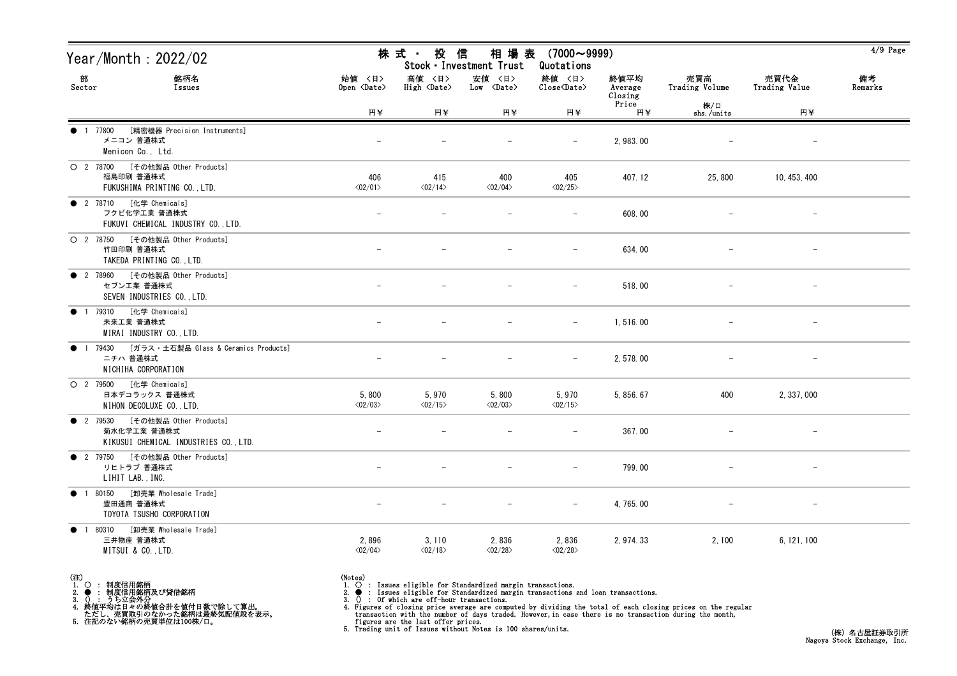| Year/Month: 2022/02                                                                          |                                  | 株式 投信<br>相 場 表<br>$(7000 \sim 9999)$<br>Stock · Investment Trust<br>Quotations |                                        |                                                              |                            |                       |                          |               |  |  |
|----------------------------------------------------------------------------------------------|----------------------------------|--------------------------------------------------------------------------------|----------------------------------------|--------------------------------------------------------------|----------------------------|-----------------------|--------------------------|---------------|--|--|
| 部<br>銘柄名<br>Sector<br>Issues                                                                 | 始値 〈日〉<br>Open <date></date>     | 高値 〈日〉<br>$High \langle Date \rangle$                                          | 安値 〈日〉<br>$Low \ \langle Date \rangle$ | 終値 〈日〉<br>$\widehat{\text{Close}}\langle \text{Date}\rangle$ | 終値平均<br>Average<br>Closing | 売買高<br>Trading Volume | 売買代金<br>Trading Value    | 備考<br>Remarks |  |  |
|                                                                                              | 円半                               | 円半                                                                             | 円半                                     | 円半                                                           | Price<br>円半                | 株/口<br>shs./units     | 円半                       |               |  |  |
| [精密機器 Precision Instruments]<br>1 77800<br>メニコン 普通株式<br>Menicon Co., Ltd.                    |                                  |                                                                                |                                        |                                                              | 2, 983.00                  |                       |                          |               |  |  |
| O 2 78700 [その他製品 Other Products]<br>福島印刷 普通株式<br>FUKUSHIMA PRINTING CO., LTD.                | 406<br>$\langle 02/01 \rangle$   | 415<br>$\langle 02/14 \rangle$                                                 | 400<br>$\langle 02/04 \rangle$         | 405<br>$\langle 02/25 \rangle$                               | 407.12                     | 25,800                | 10, 453, 400             |               |  |  |
| ● 2 78710 [化学 Chemicals]<br>フクビ化学工業 普通株式<br>FUKUVI CHEMICAL INDUSTRY CO., LTD.               |                                  |                                                                                |                                        |                                                              | 608.00                     |                       |                          |               |  |  |
| O 2 78750 [その他製品 Other Products]<br>竹田印刷 普通株式<br>TAKEDA PRINTING CO., LTD.                   |                                  |                                                                                |                                        | $\overline{\phantom{m}}$                                     | 634.00                     |                       |                          |               |  |  |
| ● 2 78960 [その他製品 Other Products]<br>セブンエ業 普通株式<br>SEVEN INDUSTRIES CO., LTD.                 |                                  |                                                                                |                                        |                                                              | 518.00                     |                       |                          |               |  |  |
| ● 1 79310 [化学 Chemicals]<br>未来工業 普通株式<br>MIRAI INDUSTRY CO., LTD.                            |                                  |                                                                                |                                        | $\overline{\phantom{m}}$                                     | 1,516.00                   |                       | $\overline{\phantom{m}}$ |               |  |  |
| 1 79430 [ガラス・土石製品 Glass & Ceramics Products]<br>$\bullet$<br>ニチハ 普通株式<br>NICHIHA CORPORATION |                                  |                                                                                |                                        |                                                              | 2, 578.00                  |                       |                          |               |  |  |
| O 2 79500 [化学 Chemicals]<br>日本デコラックス 普通株式<br>NIHON DECOLUXE CO., LTD.                        | 5,800<br>$\langle 02/03 \rangle$ | 5,970<br>$\langle 02/15 \rangle$                                               | 5,800<br>$\langle 02/03 \rangle$       | 5,970<br>$\langle 02/15 \rangle$                             | 5, 856. 67                 | 400                   | 2, 337, 000              |               |  |  |
| ● 2 79530 [その他製品 Other Products]<br>菊水化学工業 普通株式<br>KIKUSUI CHEMICAL INDUSTRIES CO., LTD.     |                                  |                                                                                |                                        |                                                              | 367.00                     |                       |                          |               |  |  |
| ● 2 79750 [その他製品 Other Products]<br>リヒトラブ 普通株式<br>LIHIT LAB., INC.                           |                                  |                                                                                | $\overline{\phantom{a}}$               | $-$                                                          | 799.00                     |                       | $\overline{\phantom{0}}$ |               |  |  |
| [卸売業 Wholesale Trade]<br>● 1 80150<br>豊田通商 普通株式<br>TOYOTA TSUSHO CORPORATION                 |                                  |                                                                                |                                        | $\overline{\phantom{m}}$                                     | 4, 765.00                  |                       |                          |               |  |  |
| 80310 [卸売業 Wholesale Trade]<br>$\bullet$<br>三井物産 普通株式<br>MITSUI & CO., LTD.                  | 2,896<br>$\langle 02/04 \rangle$ | 3, 110<br>$\langle 02/18 \rangle$                                              | 2,836<br>$\langle 02/28 \rangle$       | 2,836<br>$\langle 02/28 \rangle$                             | 2, 974. 33                 | 2,100                 | 6, 121, 100              |               |  |  |

- (注)<br>1. ○<br>2. ●<br>3. ① 1. ○ : 制度信用銘柄
- 
- 

2. ● : 制度信用銘柄及び貸借銘柄<br>3. () : うち立会外分<br>4. 終値平均は日々の終値合計を値付日数で除して算出。<br>ただし、売買取引のなかった銘柄は最終気配値段を表示。<br>5. 注記のない銘柄の売買単位は100株/口。

- 
- (Notes)<br>1. : Issues eligible for Standardized margin transactions.
-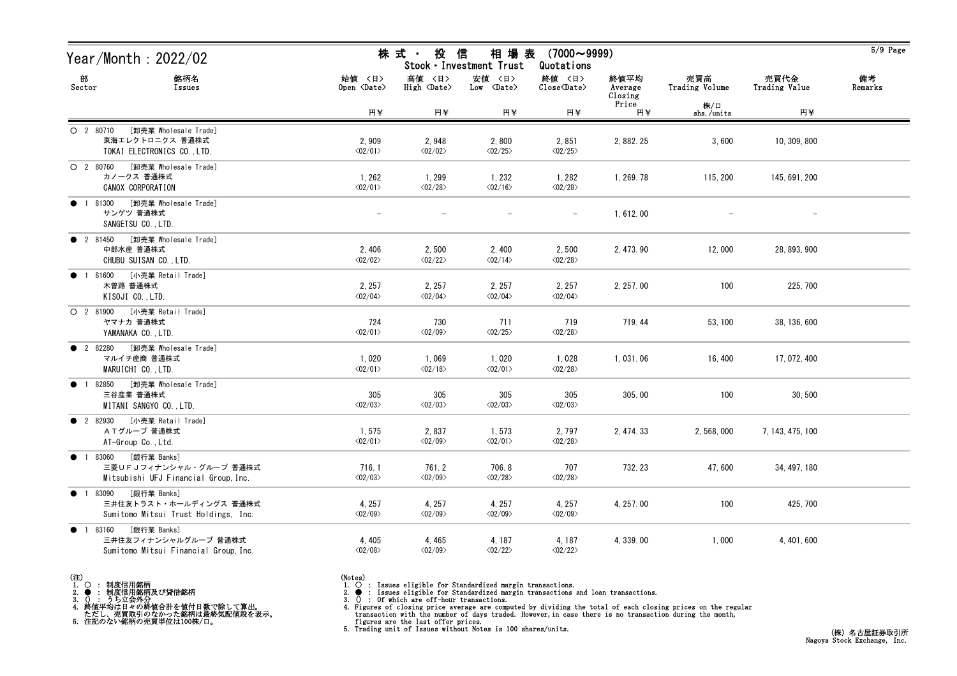| Year/Month : 2022/02                                                                       |                                         | 株 式 ・<br>投                        | 相場表<br>信<br>Stock · Investment Trust | $(7000 \sim 9999)$                |                            | $5/9$ Page            |                       |               |
|--------------------------------------------------------------------------------------------|-----------------------------------------|-----------------------------------|--------------------------------------|-----------------------------------|----------------------------|-----------------------|-----------------------|---------------|
| 部<br>銘柄名<br>Sector<br>Issues                                                               | 始値 〈日〉<br>Open $\langle$ Date $\rangle$ | 高値 〈日〉<br>High $\langle$ Date>    | 安値 〈日〉<br>$Low \langle Date \rangle$ | 終値 〈日〉<br>Close <date></date>     | 終値平均<br>Average<br>Closing | 売買高<br>Trading Volume | 売買代金<br>Trading Value | 備考<br>Remarks |
|                                                                                            | 円半                                      | 円半                                | 円¥                                   | 円半                                | Price<br>円半                | 株/口<br>shs./units     | 円半                    |               |
| [卸売業 Wholesale Trade]<br>$O$ 2 80710<br>東海エレクトロニクス 普通株式<br>TOKAI ELECTRONICS CO., LTD.     | 2,909<br>$\langle 02/01 \rangle$        | 2,948<br>$\langle 02/02 \rangle$  | 2,800<br>$\langle 02/25 \rangle$     | 2,851<br>$\langle 02/25 \rangle$  | 2, 882. 25                 | 3,600                 | 10, 309, 800          |               |
| O 2 80760 [卸売業 Wholesale Trade]<br>カノークス 普通株式<br>CANOX CORPORATION                         | 1,262<br>$\langle 02/01 \rangle$        | 1, 299<br>$\langle 02/28 \rangle$ | 1, 232<br>$\langle 02/16 \rangle$    | 1,282<br>$\langle 02/28 \rangle$  | 1, 269. 78                 | 115, 200              | 145, 691, 200         |               |
| [卸売業 Wholesale Trade]<br>1 81300<br>$\bullet$<br>サンゲツ 普通株式<br>SANGETSU CO., LTD.           |                                         |                                   |                                      |                                   | 1,612.00                   |                       |                       |               |
| ● 2 81450 [卸売業 Wholesale Trade]<br>中部水産 普通株式<br>CHUBU SUISAN CO., LTD.                     | 2,406<br>$\langle 02/02 \rangle$        | 2,500<br>$\langle 02/22 \rangle$  | 2,400<br>$\langle 02/14 \rangle$     | 2,500<br>$\langle 02/28 \rangle$  | 2, 473.90                  | 12,000                | 28, 893, 900          |               |
| [小売業 Retail Trade]<br>81600<br>$\bullet$<br>木曽路 普通株式<br>KISOJI CO., LTD.                   | 2, 257<br>$\langle 02/04 \rangle$       | 2, 257<br>$\langle 02/04 \rangle$ | 2, 257<br>$\langle 02/04 \rangle$    | 2, 257<br>$\langle 02/04 \rangle$ | 2, 257.00                  | 100                   | 225, 700              |               |
| O 2 81900 [小売業 Retail Trade]<br>ヤマナカ 普通株式<br>YAMANAKA CO., LTD.                            | 724<br>$\langle 02/01 \rangle$          | 730<br>$\langle 02/09 \rangle$    | 711<br>$\langle 02/25 \rangle$       | 719<br>$\langle 02/28 \rangle$    | 719.44                     | 53, 100               | 38, 136, 600          |               |
| [卸売業 Wholesale Trade]<br><b>2</b> 82280<br>マルイチ産商 普通株式<br>MARUICHI CO., LTD.               | 1,020<br>$\langle 02/01 \rangle$        | 1,069<br>$\langle 02/18 \rangle$  | 1,020<br>$\langle 02/01 \rangle$     | 1,028<br>$\langle 02/28 \rangle$  | 1,031.06                   | 16, 400               | 17, 072, 400          |               |
| [卸売業 Wholesale Trade]<br>82850<br>三谷産業 普通株式<br>MITANI SANGYO CO., LTD.                     | 305<br>$\langle 02/03 \rangle$          | 305<br>$\langle 02/03 \rangle$    | 305<br>$\langle 02/03 \rangle$       | 305<br>$\langle 02/03 \rangle$    | 305.00                     | 100                   | 30, 500               |               |
| [小売業 Retail Trade]<br><b>2</b> 82930<br>ATグループ 普通株式<br>AT-Group Co., Ltd.                  | 1,575<br>$\langle 02/01 \rangle$        | 2,837<br>$\langle 02/09 \rangle$  | 1,573<br>$\langle 02/01 \rangle$     | 2,797<br>$\langle 02/28 \rangle$  | 2, 474. 33                 | 2, 568, 000           | 7, 143, 475, 100      |               |
| ● 1 83060 [銀行業 Banks]<br>三菱UFJフィナンシャル・グループ 普通株式<br>Mitsubishi UFJ Financial Group, Inc.    | 716.1<br>$\langle 02/03 \rangle$        | 761.2<br>$\langle 02/09 \rangle$  | 706.8<br>$\langle 02/28 \rangle$     | 707<br>$\langle 02/28 \rangle$    | 732.23                     | 47,600                | 34, 497, 180          |               |
| [銀行業 Banks]<br>● 1 83090<br>三井住友トラスト・ホールディングス 普通株式<br>Sumitomo Mitsui Trust Holdings, Inc. | 4, 257<br>$\langle 02/09 \rangle$       | 4, 257<br>$\langle 02/09 \rangle$ | 4, 257<br>$\langle 02/09 \rangle$    | 4, 257<br>$\langle02/09\rangle$   | 4, 257, 00                 | 100                   | 425, 700              |               |
| [銀行業 Banks]<br>● 1 83160<br>三井住友フィナンシャルグループ 普通株式<br>Sumitomo Mitsui Financial Group, Inc.  | 4, 405<br>$\langle 02/08 \rangle$       | 4,465<br>$\langle 02/09 \rangle$  | 4, 187<br>$\langle 02/22 \rangle$    | 4, 187<br>$\langle 02/22 \rangle$ | 4, 339.00                  | 1,000                 | 4, 401, 600           |               |



2. ● : 制度信用銘柄及び貸借銘柄<br>3. () : うち立会外分<br>4. 終値平均は日々の終値合計を値付日数で除して算出。<br>ただし、売買取引のなかった銘柄は最終気配値段を表示。<br>5. 注記のない銘柄の売買単位は100株/口。

(Notes)<br>1. ○ : Issues eligible for Standardized margin transactions.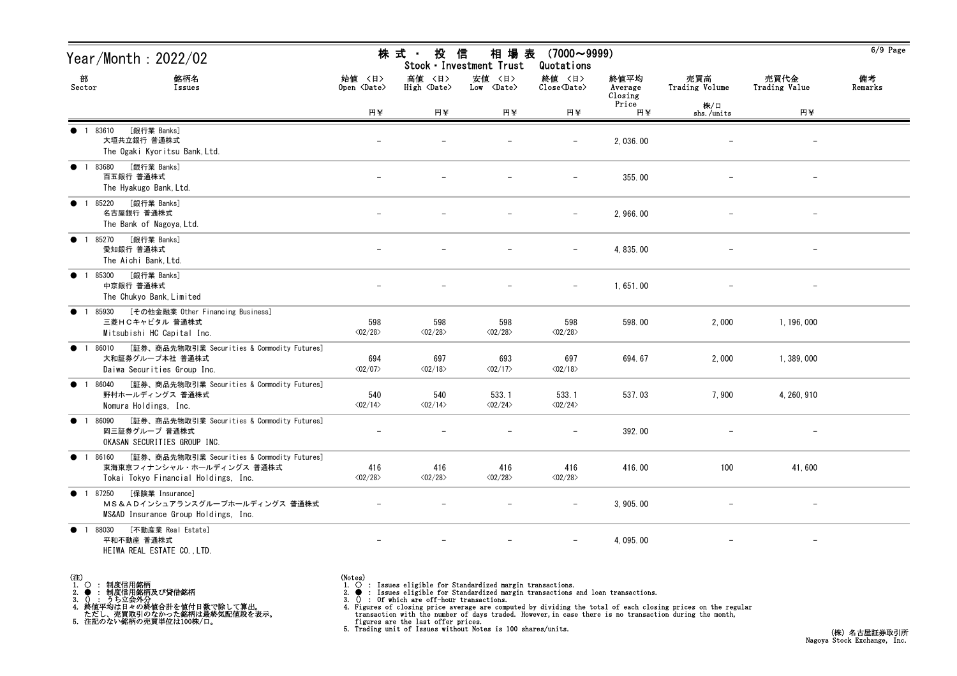| Year/Month : 2022/02                                                                                                       |                                | 投<br>株 式 -<br>信<br>相 場 表<br>$(7000 \sim 9999)$<br>Stock · Investment Trust<br>Quotations |                                      |                                  |                            |                          |                          |               |  |
|----------------------------------------------------------------------------------------------------------------------------|--------------------------------|------------------------------------------------------------------------------------------|--------------------------------------|----------------------------------|----------------------------|--------------------------|--------------------------|---------------|--|
| 部<br>銘柄名<br>Sector<br>Issues                                                                                               | 始値 〈日〉<br>Open <date></date>   | 高値 〈日〉<br>High <date></date>                                                             | 安値 〈日〉<br>$Low \langle Date \rangle$ | 終値 〈日〉<br>Close <date></date>    | 終値平均<br>Average<br>Closing | 売買高<br>Trading Volume    | 売買代金<br>Trading Value    | 備考<br>Remarks |  |
|                                                                                                                            | 円¥                             | 円半                                                                                       | 円半                                   | 円半                               | Price<br>円半                | 株/口<br>shs./units        | 円半                       |               |  |
| [銀行業 Banks]<br>1 83610<br>$\bullet$<br>大垣共立銀行 普通株式<br>The Ogaki Kyoritsu Bank, Ltd.                                        |                                |                                                                                          |                                      |                                  | 2,036.00                   |                          | $\qquad \qquad -$        |               |  |
| [銀行業 Banks]<br>● 1 83680<br>百五銀行 普通株式<br>The Hyakugo Bank, Ltd.                                                            |                                |                                                                                          |                                      | $-$                              | 355.00                     |                          | $\overline{\phantom{m}}$ |               |  |
| [銀行業 Banks]<br>1 85220<br>$\bullet$<br>名古屋銀行 普通株式<br>The Bank of Nagoya, Ltd.                                              |                                |                                                                                          |                                      | $\overline{\phantom{m}}$         | 2,966.00                   |                          |                          |               |  |
| [銀行業 Banks]<br>● 1 85270<br>愛知銀行 普通株式<br>The Aichi Bank, Ltd.                                                              |                                |                                                                                          |                                      | $\overline{\phantom{m}}$         | 4, 835.00                  |                          |                          |               |  |
| [銀行業 Banks]<br>$\bullet$<br>1 85300<br>中京銀行 普通株式<br>The Chukyo Bank, Limited                                               |                                |                                                                                          |                                      | $\overline{\phantom{0}}$         | 1,651.00                   |                          |                          |               |  |
| [その他金融業 Other Financing Business]<br>$\bullet$ 1<br>85930<br>三菱HCキャピタル 普通株式<br>Mitsubishi HC Capital Inc.                  | 598<br>$\langle 02/28 \rangle$ | 598<br>$\langle 02/28 \rangle$                                                           | 598<br>$\langle 02/28 \rangle$       | 598<br>$\langle 02/28 \rangle$   | 598.00                     | 2,000                    | 1, 196, 000              |               |  |
| [証券、商品先物取引業 Securities & Commodity Futures]<br>● 1 86010<br>大和証券グループ本社 普通株式<br>Daiwa Securities Group Inc.                 | 694<br>$\langle 02/07 \rangle$ | 697<br>$\langle 02/18 \rangle$                                                           | 693<br>$\langle 02/17 \rangle$       | 697<br>$\langle 02/18 \rangle$   | 694.67                     | 2,000                    | 1,389,000                |               |  |
| [証券、商品先物取引業 Securities & Commodity Futures]<br>86040<br>$\bullet$ 1<br>野村ホールディングス 普通株式<br>Nomura Holdings, Inc.            | 540<br>$\langle 02/14 \rangle$ | 540<br>$\langle 02/14 \rangle$                                                           | 533.1<br>$\langle 02/24 \rangle$     | 533.1<br>$\langle 02/24 \rangle$ | 537.03                     | 7,900                    | 4, 260, 910              |               |  |
| [証券、商品先物取引業 Securities & Commodity Futures]<br>● 1 86090<br>岡三証券グループ 普通株式<br>OKASAN SECURITIES GROUP INC.                  |                                |                                                                                          |                                      |                                  | 392.00                     |                          |                          |               |  |
| ● 1 86160 [証券、商品先物取引業 Securities & Commodity Futures]<br>東海東京フィナンシャル・ホールディングス 普通株式<br>Tokai Tokyo Financial Holdings, Inc. | 416<br>$\langle 02/28 \rangle$ | 416<br>$\langle 02/28 \rangle$                                                           | 416<br>$\langle 02/28 \rangle$       | 416<br>$\langle 02/28 \rangle$   | 416.00                     | 100                      | 41,600                   |               |  |
| [保険業 Insurance]<br>● 1 87250<br>MS&ADインシュアランスグループホールディングス 普通株式<br>MS&AD Insurance Group Holdings, Inc.                     |                                |                                                                                          |                                      | $\overline{\phantom{m}}$         | 3, 905.00                  |                          | $\overline{\phantom{m}}$ |               |  |
| ● 1 88030 [不動産業 Real Estate]<br>平和不動産 普通株式<br>HEIWA REAL ESTATE CO., LTD.                                                  |                                |                                                                                          |                                      | $-$                              | 4, 095.00                  | $\overline{\phantom{m}}$ | $-$                      |               |  |

| (注) |                      |
|-----|----------------------|
|     | 1.〇 : 制度信用銘柄         |
|     | 2. ● : 制度信用銘柄及び貸借銘柄  |
|     | 3. $0 \cdot 55$ 立会外分 |

3. () : うち立会外分 4. 終値平均は日々の終値合計を値付日数で除して算出。 ただし、売買取引のなかった銘柄は最終気配値段を表示。 5. 注記のない銘柄の売買単位は100株/口。

(Notes)<br>1. ○ : Issues eligible for Standardized margin transactions.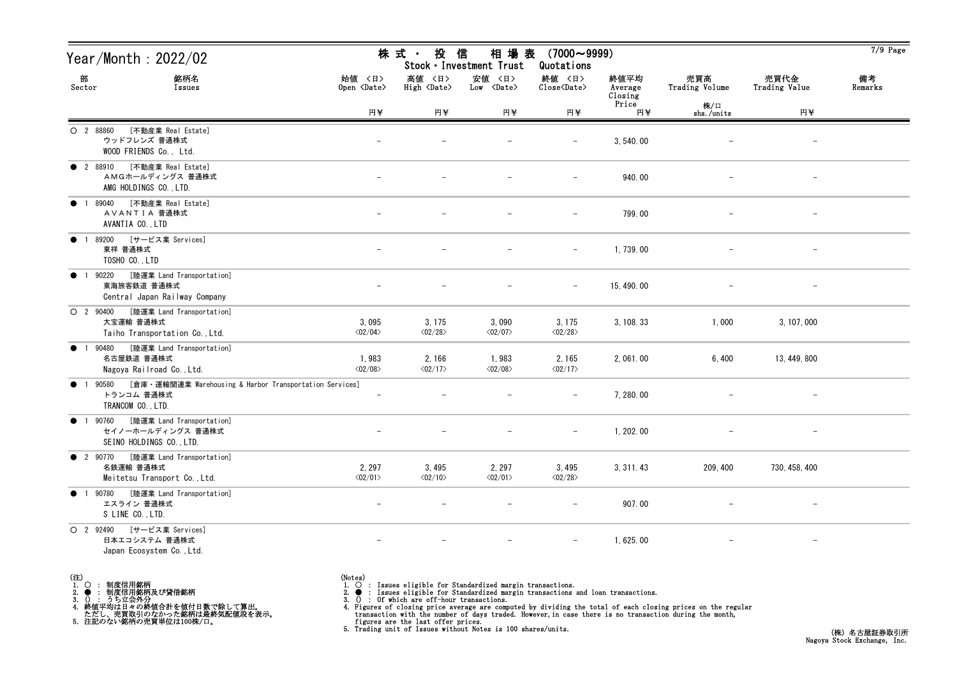| Year/Month : 2022/02                                            |                                                             |                                   | 株 式 ・<br>投                        | 信<br>相 場 表<br>Stock · Investment Trust | $(7000 \sim 9999)$<br>Quotations  |                            |                       |                          | $7/9$ Page    |
|-----------------------------------------------------------------|-------------------------------------------------------------|-----------------------------------|-----------------------------------|----------------------------------------|-----------------------------------|----------------------------|-----------------------|--------------------------|---------------|
| 部<br>Sector                                                     | 銘柄名<br>Issues                                               | 始値 〈日〉<br>Open <date></date>      | 高値 〈日〉<br>High <date></date>      | 安値 〈日〉<br>Low <date></date>            | 終値 〈日〉<br>Close <date></date>     | 終値平均<br>Average<br>Closing | 売買高<br>Trading Volume | 売買代金<br>Trading Value    | 備考<br>Remarks |
|                                                                 |                                                             | 円半                                | 円半                                | 円半                                     | 円半                                | Price<br>円半                | 株/口<br>shs./units     | 円半                       |               |
| O 2 88860<br>ウッドフレンズ 普通株式<br>WOOD FRIENDS Co., Ltd.             | [不動産業 Real Estate]                                          |                                   |                                   |                                        |                                   | 3, 540.00                  |                       | $\overline{\phantom{a}}$ |               |
| <b>2</b> 88910<br>AMG HOLDINGS CO., LTD.                        | [不動産業 Real Estate]<br>AMGホールディングス 普通株式                      |                                   |                                   |                                        | $\qquad \qquad -$                 | 940.00                     |                       | $\overline{\phantom{a}}$ |               |
| 1 89040<br>$\bullet$<br>AVANTIA 普通株式<br>AVANTIA CO., LTD        | [不動産業 Real Estate]                                          |                                   |                                   |                                        |                                   | 799.00                     |                       | $\overline{\phantom{m}}$ |               |
| 89200<br>$\bullet$<br>東祥 普通株式<br>TOSHO CO., LTD                 | [サービス業 Services]                                            |                                   |                                   |                                        | $-$                               | 1,739.00                   |                       |                          |               |
| 90220<br>$\bullet$<br>$\overline{1}$<br>東海旅客鉄道 普通株式             | [陸運業 Land Transportation]<br>Central Japan Railway Company  |                                   |                                   |                                        | $\overline{\phantom{m}}$          | 15, 490.00                 |                       |                          |               |
| O 2 90400<br>大宝運輸 普通株式                                          | [陸運業 Land Transportation]<br>Taiho Transportation Co., Ltd. | 3,095<br>$\langle 02/04 \rangle$  | 3, 175<br>$\langle 02/28 \rangle$ | 3,090<br>$\langle 02/07 \rangle$       | 3, 175<br>$\langle 02/28 \rangle$ | 3, 108. 33                 | 1,000                 | 3, 107, 000              |               |
| 1 90480<br>$\bullet$<br>名古屋鉄道 普通株式<br>Nagoya Railroad Co., Ltd. | [陸運業 Land Transportation]                                   | 1,983<br>$\langle 02/08 \rangle$  | 2, 166<br>$\langle 02/17 \rangle$ | 1,983<br>$\langle 02/08 \rangle$       | 2, 165<br>$\langle 02/17 \rangle$ | 2, 061.00                  | 6,400                 | 13, 449, 800             |               |
| 1 90580<br>$\bullet$<br>トランコム 普通株式<br>TRANCOM CO., LTD.         | [倉庫 · 運輸関連業 Warehousing & Harbor Transportation Services]   | $\overline{\phantom{a}}$          |                                   |                                        | $\qquad \qquad -$                 | 7, 280.00                  |                       | $\qquad \qquad -$        |               |
| 1 90760<br>$\bullet$<br>SEINO HOLDINGS CO., LTD.                | [陸運業 Land Transportation]<br>セイノーホールディングス 普通株式              |                                   |                                   |                                        | $\overline{\phantom{m}}$          | 1, 202. 00                 |                       | $\overline{\phantom{m}}$ |               |
| ● 2 90770 [陸運業 Land Transportation]<br>名鉄運輸 普通株式                | Meitetsu Transport Co., Ltd.                                | 2, 297<br>$\langle 02/01 \rangle$ | 3,495<br>$\langle 02/10 \rangle$  | 2, 297<br>$\langle 02/01 \rangle$      | 3,495<br>$\langle 02/28 \rangle$  | 3, 311. 43                 | 209, 400              | 730, 458, 400            |               |
| ● 1 90780<br>エスライン 普通株式<br>S LINE CO., LTD.                     | [陸運業 Land Transportation]                                   |                                   |                                   |                                        |                                   | 907.00                     |                       |                          |               |
| O 2 92490<br>日本エコシステム 普通株式<br>Japan Ecosystem Co., Ltd.         | [サービス業 Services]                                            |                                   |                                   |                                        | $-$                               | 1,625.00                   |                       | $\overline{\phantom{a}}$ |               |

(注)<br>1. ○<br>2. ●<br>3. ① 1. ○ : 制度信用銘柄

2. ● : 制度信用銘柄及び貸借銘柄<br>3. () : うち立会外分<br>4. 終値平均は日々の終値合計を値付日数で除して算出。<br>ただし、売買取引のなかった銘柄は最終気配値段を表示。<br>5. 注記のない銘柄の売買単位は100株/口。

(Notes)<br>1. ○ : Issues eligible for Standardized margin transactions.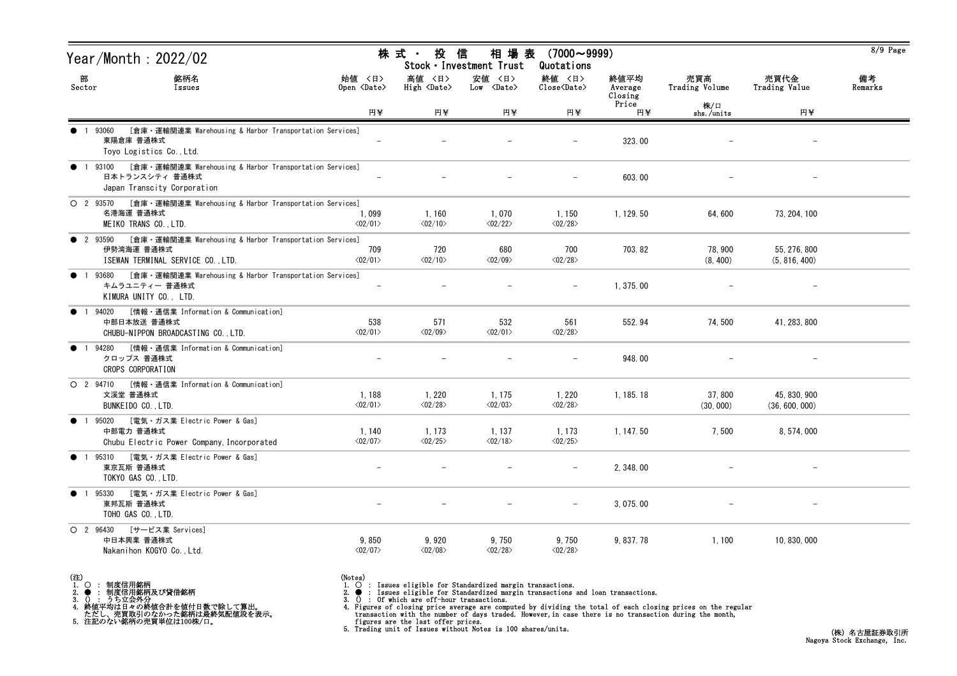|                | Year/Month: 2022/02                                                                                              |                                         | 株 式 ・ 投 信                         | 相 場 表<br>Stock · Investment Trust    | $(7000 \sim 9999)$<br>Quotations  |                            |                       |                                | 8/9 Page      |
|----------------|------------------------------------------------------------------------------------------------------------------|-----------------------------------------|-----------------------------------|--------------------------------------|-----------------------------------|----------------------------|-----------------------|--------------------------------|---------------|
| 部<br>Sector    | 銘柄名<br>Issues                                                                                                    | 始値 〈日〉<br>Open $\langle$ Date $\rangle$ | 高値 〈日〉<br>High <date></date>      | 安値 〈日〉<br>$Low \langle Date \rangle$ | 終値 〈日〉<br>Close <date></date>     | 終値平均<br>Average<br>Closing | 売買高<br>Trading Volume | 売買代金<br>Trading Value          | 備考<br>Remarks |
|                |                                                                                                                  | 円半                                      | 円半                                | 円半                                   | 円半                                | Price<br>円¥                | 株/口<br>shs./units     | 円¥                             |               |
|                | [倉庫・運輸関連業 Warehousing & Harbor Transportation Services]<br>1 93060<br>東陽倉庫 普通株式<br>Toyo Logistics Co., Ltd.      |                                         |                                   |                                      |                                   | 323.00                     |                       |                                |               |
| $\bullet$      | 1 93100 [倉庫・運輸関連業 Warehousing & Harbor Transportation Services]<br>日本トランスシティ 普通株式<br>Japan Transcity Corporation |                                         |                                   |                                      | $\overline{\phantom{m}}$          | 603.00                     |                       |                                |               |
|                | ○ 2 93570 [倉庫 · 運輸関連業 Warehousing & Harbor Transportation Services]<br>名港海運 普通株式<br>MEIKO TRANS CO., LTD.        | 1,099<br>$\langle 02/01 \rangle$        | 1,160<br>$\langle 02/10 \rangle$  | 1,070<br>$\langle 02/22 \rangle$     | 1,150<br>$\langle 02/28 \rangle$  | 1, 129.50                  | 64,600                | 73, 204, 100                   |               |
| <b>2</b> 93590 | [倉庫・運輸関連業 Warehousing & Harbor Transportation Services]<br>伊勢湾海運 普通株式<br>ISEWAN TERMINAL SERVICE CO., LTD.       | 709<br>$\langle 02/01 \rangle$          | 720<br>$\langle 02/10 \rangle$    | 680<br>$\langle 02/09 \rangle$       | 700<br>$\langle 02/28 \rangle$    | 703.82                     | 78,900<br>(8, 400)    | 55, 276, 800<br>(5, 816, 400)  |               |
| $\bullet$      | [倉庫・運輸関連業 Warehousing & Harbor Transportation Services]<br>1 93680<br>キムラユニティー 普通株式<br>KIMURA UNITY CO., LTD.    |                                         |                                   |                                      |                                   | 1, 375.00                  |                       |                                |               |
| $\bullet$      | [情報・通信業 Information & Communication]<br>1 94020<br>中部日本放送 普通株式<br>CHUBU-NIPPON BROADCASTING CO., LTD.            | 538<br>$\langle 02/01 \rangle$          | 571<br>$\langle 02/09 \rangle$    | 532<br>$\langle 02/01 \rangle$       | 561<br>$\langle 02/28 \rangle$    | 552.94                     | 74,500                | 41, 283, 800                   |               |
|                | [情報・通信業 Information & Communication]<br>94280<br>クロップス 普通株式<br>CROPS CORPORATION                                 |                                         |                                   |                                      |                                   | 948.00                     |                       |                                |               |
|                | ○ 2 94710 [情報 · 通信業 Information & Communication]<br>文溪堂 普通株式<br>BUNKEIDO CO., LTD.                               | 1,188<br>$\langle 02/01 \rangle$        | 1, 220<br>$\langle 02/28 \rangle$ | 1, 175<br>$\langle 02/03 \rangle$    | 1,220<br>$\langle 02/28 \rangle$  | 1, 185. 18                 | 37,800<br>(30, 000)   | 45, 830, 900<br>(36, 600, 000) |               |
|                | ● 1 95020 [電気・ガス業 Electric Power & Gas]<br>中部電力 普通株式<br>Chubu Electric Power Company, Incorporated               | 1,140<br>$\langle 02/07 \rangle$        | 1, 173<br>$\langle 02/25 \rangle$ | 1, 137<br>$\langle 02/18 \rangle$    | 1, 173<br>$\langle 02/25 \rangle$ | 1, 147.50                  | 7,500                 | 8, 574, 000                    |               |
|                | ● 1 95310 [電気・ガス業 Electric Power & Gas]<br>東京瓦斯 普通株式<br>TOKYO GAS CO., LTD.                                      |                                         |                                   |                                      | $\overline{\phantom{m}}$          | 2, 348.00                  |                       |                                |               |
|                | ● 1 95330 [電気・ガス業 Electric Power & Gas]<br>東邦瓦斯 普通株式<br>TOHO GAS CO., LTD.                                       |                                         |                                   |                                      |                                   | 3, 075.00                  |                       |                                |               |
|                | O 2 96430 [サービス業 Services]<br>中日本興業 普通株式<br>Nakanihon KOGYO Co., Ltd.                                            | 9,850<br>$\langle 02/07 \rangle$        | 9,920<br>$\langle 02/08 \rangle$  | 9,750<br>$\langle 02/28 \rangle$     | 9,750<br>$\langle 02/28 \rangle$  | 9, 837. 78                 | 1,100                 | 10, 830, 000                   |               |

(注)<br>1. ○<br>2. ●<br>3. ① 1. ○ : 制度信用銘柄

2. ● : 制度信用銘柄及び貸借銘柄<br>3. () : うち立会外分<br>4. 終値平均は日々の終値合計を値付日数で除して算出。<br>ただし、売買取引のなかった銘柄は最終気配値段を表示。<br>5. 注記のない銘柄の売買単位は100株/口。

(Notes)<br>1. ○ : Issues eligible for Standardized margin transactions.